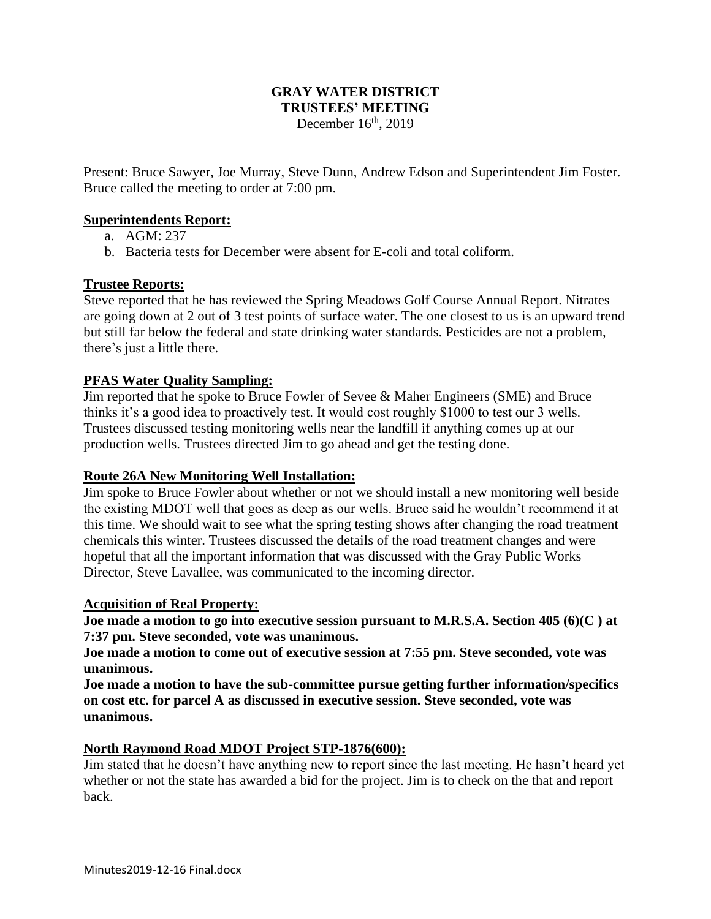## **GRAY WATER DISTRICT TRUSTEES' MEETING** December  $16<sup>th</sup>$ , 2019

Present: Bruce Sawyer, Joe Murray, Steve Dunn, Andrew Edson and Superintendent Jim Foster. Bruce called the meeting to order at 7:00 pm.

#### **Superintendents Report:**

- a. AGM: 237
- b. Bacteria tests for December were absent for E-coli and total coliform.

## **Trustee Reports:**

Steve reported that he has reviewed the Spring Meadows Golf Course Annual Report. Nitrates are going down at 2 out of 3 test points of surface water. The one closest to us is an upward trend but still far below the federal and state drinking water standards. Pesticides are not a problem, there's just a little there.

#### **PFAS Water Quality Sampling:**

Jim reported that he spoke to Bruce Fowler of Sevee & Maher Engineers (SME) and Bruce thinks it's a good idea to proactively test. It would cost roughly \$1000 to test our 3 wells. Trustees discussed testing monitoring wells near the landfill if anything comes up at our production wells. Trustees directed Jim to go ahead and get the testing done.

#### **Route 26A New Monitoring Well Installation:**

Jim spoke to Bruce Fowler about whether or not we should install a new monitoring well beside the existing MDOT well that goes as deep as our wells. Bruce said he wouldn't recommend it at this time. We should wait to see what the spring testing shows after changing the road treatment chemicals this winter. Trustees discussed the details of the road treatment changes and were hopeful that all the important information that was discussed with the Gray Public Works Director, Steve Lavallee, was communicated to the incoming director.

#### **Acquisition of Real Property:**

**Joe made a motion to go into executive session pursuant to M.R.S.A. Section 405 (6)(C ) at 7:37 pm. Steve seconded, vote was unanimous.** 

**Joe made a motion to come out of executive session at 7:55 pm. Steve seconded, vote was unanimous.** 

**Joe made a motion to have the sub-committee pursue getting further information/specifics on cost etc. for parcel A as discussed in executive session. Steve seconded, vote was unanimous.**

#### **North Raymond Road MDOT Project STP-1876(600):**

Jim stated that he doesn't have anything new to report since the last meeting. He hasn't heard yet whether or not the state has awarded a bid for the project. Jim is to check on the that and report back.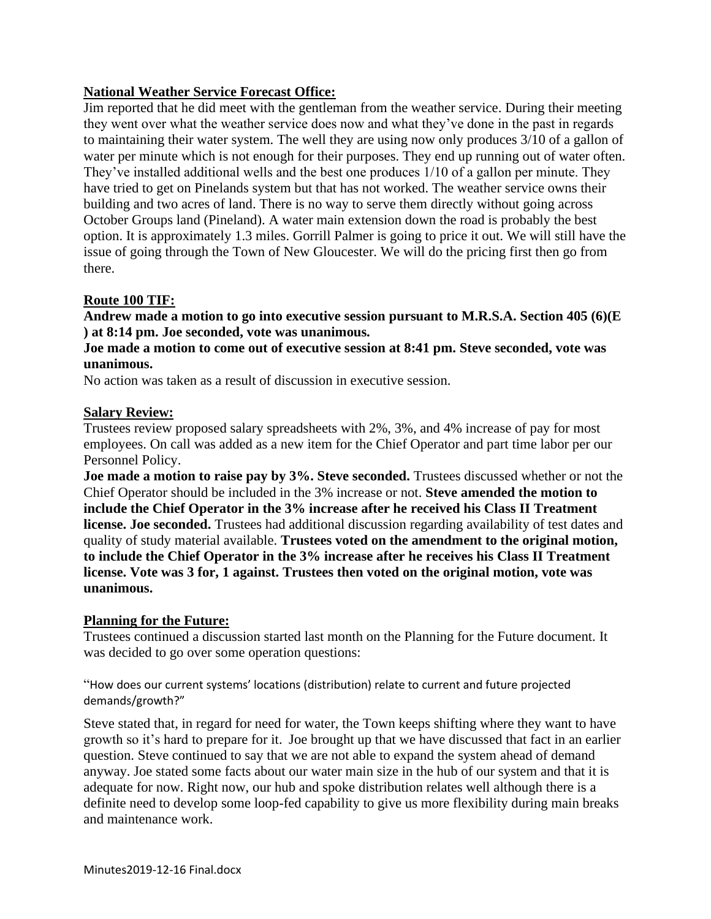# **National Weather Service Forecast Office:**

Jim reported that he did meet with the gentleman from the weather service. During their meeting they went over what the weather service does now and what they've done in the past in regards to maintaining their water system. The well they are using now only produces 3/10 of a gallon of water per minute which is not enough for their purposes. They end up running out of water often. They've installed additional wells and the best one produces 1/10 of a gallon per minute. They have tried to get on Pinelands system but that has not worked. The weather service owns their building and two acres of land. There is no way to serve them directly without going across October Groups land (Pineland). A water main extension down the road is probably the best option. It is approximately 1.3 miles. Gorrill Palmer is going to price it out. We will still have the issue of going through the Town of New Gloucester. We will do the pricing first then go from there.

## **Route 100 TIF:**

**Andrew made a motion to go into executive session pursuant to M.R.S.A. Section 405 (6)(E ) at 8:14 pm. Joe seconded, vote was unanimous.**

**Joe made a motion to come out of executive session at 8:41 pm. Steve seconded, vote was unanimous.**

No action was taken as a result of discussion in executive session.

#### **Salary Review:**

Trustees review proposed salary spreadsheets with 2%, 3%, and 4% increase of pay for most employees. On call was added as a new item for the Chief Operator and part time labor per our Personnel Policy.

**Joe made a motion to raise pay by 3%. Steve seconded.** Trustees discussed whether or not the Chief Operator should be included in the 3% increase or not. **Steve amended the motion to include the Chief Operator in the 3% increase after he received his Class II Treatment license. Joe seconded.** Trustees had additional discussion regarding availability of test dates and quality of study material available. **Trustees voted on the amendment to the original motion, to include the Chief Operator in the 3% increase after he receives his Class II Treatment license. Vote was 3 for, 1 against. Trustees then voted on the original motion, vote was unanimous.**

#### **Planning for the Future:**

Trustees continued a discussion started last month on the Planning for the Future document. It was decided to go over some operation questions:

"How does our current systems' locations (distribution) relate to current and future projected demands/growth?"

Steve stated that, in regard for need for water, the Town keeps shifting where they want to have growth so it's hard to prepare for it. Joe brought up that we have discussed that fact in an earlier question. Steve continued to say that we are not able to expand the system ahead of demand anyway. Joe stated some facts about our water main size in the hub of our system and that it is adequate for now. Right now, our hub and spoke distribution relates well although there is a definite need to develop some loop-fed capability to give us more flexibility during main breaks and maintenance work.